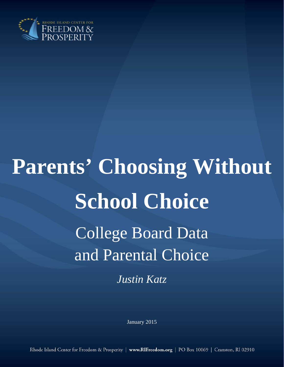

# **Parents' Choosing Without School Choice**  College Board Data and Parental Choice *Justin Katz*

January 2015

Rhode Island Center for Freedom & Prosperity | www.RIFreedom.org | PO Box 10069 | Cranston, RI 02910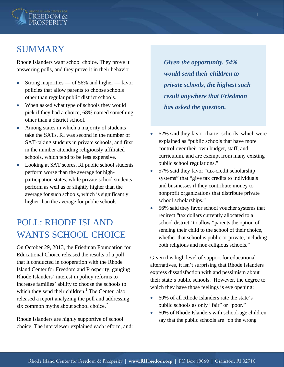

## SUMMARY

Rhode Islanders want school choice. They prove it answering polls, and they prove it in their behavior.

- Strong majorities of 56% and higher favor policies that allow parents to choose schools other than regular public district schools.
- When asked what type of schools they would pick if they had a choice, 68% named something other than a district school.
- Among states in which a majority of students take the SATs, RI was second in the number of SAT-taking students in private schools, and first in the number attending religiously affiliated schools, which tend to be less expensive.
- Looking at SAT scores, RI public school students perform worse than the average for highparticipation states, while private school students perform as well as or slightly higher than the average for such schools, which is significantly higher than the average for public schools.

## POLL: RHODE ISLAND WANTS SCHOOL CHOICE

On October 29, 2013, the Friedman Foundation for Educational Choice released the results of a poll that it conducted in cooperation with the Rhode Island Center for Freedom and Prosperity, gauging Rhode Islanders' interest in policy reforms to increase families' ability to choose the schools to which they send their children.<sup>1</sup> The Center also released a report analyzing the poll and addressing six common myths about school choice.<sup>2</sup>

Rhode Islanders are highly supportive of school choice. The interviewer explained each reform, and:

*Given the opportunity, 54% would send their children to private schools, the highest such result anywhere that Friedman has asked the question.* 

- 62% said they favor charter schools, which were explained as "public schools that have more control over their own budget, staff, and curriculum, and are exempt from many existing public school regulations."
- 57% said they favor "tax-credit scholarship systems" that "give tax credits to individuals and businesses if they contribute money to nonprofit organizations that distribute private school scholarships."
- 56% said they favor school voucher systems that redirect "tax dollars currently allocated to a school district" to allow "parents the option of sending their child to the school of their choice, whether that school is public or private, including both religious and non-religious schools."

Given this high level of support for educational alternatives, it isn't surprising that Rhode Islanders express dissatisfaction with and pessimism about their state's public schools. However, the degree to which they have those feelings is eye opening:

- 60% of all Rhode Islanders rate the state's public schools as only "fair" or "poor."
- 60% of Rhode Islanders with school-age children say that the public schools are "on the wrong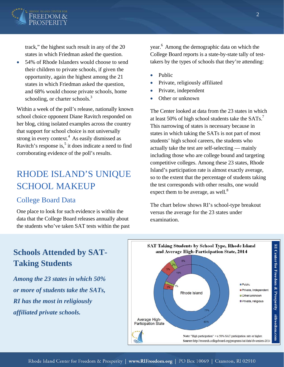

track," the highest such result in any of the 20 states in which Friedman asked the question.

• 54% of Rhode Islanders would choose to send their children to private schools, if given the opportunity, again the highest among the 21 states in which Friedman asked the question, and 68% would choose private schools, home schooling, or charter schools.<sup>3</sup>

Within a week of the poll's release, nationally known school choice opponent Diane Ravitch responded on her blog, citing isolated examples across the country that support for school choice is not universally strong in every context.<sup>4</sup> As easily dismissed as Ravitch's response is, $5$  it does indicate a need to find corroborating evidence of the poll's results.

## RHODE ISLAND'S UNIQUE SCHOOL MAKEUP

#### College Board Data

One place to look for such evidence is within the data that the College Board releases annually about the students who've taken SAT tests within the past year.<sup>6</sup> Among the demographic data on which the College Board reports is a state-by-state tally of testtakers by the types of schools that they're attending:

- Public
- Private, religiously affiliated
- Private, independent
- Other or unknown

The Center looked at data from the 23 states in which at least 50% of high school students take the  $SATs.<sup>7</sup>$ This narrowing of states is necessary because in states in which taking the SATs is not part of most students' high school careers, the students who actually take the test are self-selecting — mainly including those who are college bound and targeting competitive colleges. Among these 23 states, Rhode Island's participation rate is almost exactly average, so to the extent that the percentage of students taking the test corresponds with other results, one would expect them to be average, as well. $8^{\circ}$ 

The chart below shows RI's school-type breakout versus the average for the 23 states under examination.

## **Schools Attended by SAT-Taking Students**

*Among the 23 states in which 50% or more of students take the SATs, RI has the most in religiously affiliated private schools.*

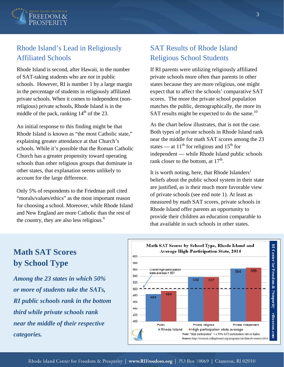

### Rhode Island's Lead in Religiously Affiliated Schools

Rhode Island is second, after Hawaii, in the number of SAT-taking students who are *not* in public schools. However, RI is number 1 by a large margin in the percentage of students in religiously affiliated private schools. When it comes to independent (nonreligious) private schools, Rhode Island is in the middle of the pack, ranking  $14<sup>th</sup>$  of the 23.

An initial response to this finding might be that Rhode Island is known as "the most Catholic state," explaining greater attendance at that Church's schools. While it's possible that the Roman Catholic Church has a greater propensity toward operating schools than other religious groups that dominate in other states, that explanation seems unlikely to account for the large difference.

Only 5% of respondents to the Friedman poll cited "morals/values/ethics" as the most important reason for choosing a school. Moreover, while Rhode Island and New England are more Catholic than the rest of the country, they are also less religious.<sup>9</sup>

### SAT Results of Rhode Island Religious School Students

If RI parents were utilizing religiously affiliated private schools more often than parents in other states because they are more religious, one might expect that to affect the schools' comparative SAT scores. The more the private school population matches the public, demographically, the more its SAT results might be expected to do the same. $^{10}$ 

As the chart below illustrates, that is not the case. Both types of private schools in Rhode Island rank near the middle for math SAT scores among the 23 states — at  $11<sup>th</sup>$  for religious and  $15<sup>th</sup>$  for independent — while Rhode Island public schools rank closer to the bottom, at  $17<sup>th</sup>$ .

It is worth noting, here, that Rhode Islanders' beliefs about the public school system in their state are justified, as is their much more favorable view of private schools (see end note 1). At least as measured by math SAT scores, private schools in Rhode Island offer parents an opportunity to provide their children an education comparable to that available in such schools in other states.

## **Math SAT Scores by School Type**

*Among the 23 states in which 50% or more of students take the SATs, RI public schools rank in the bottom third while private schools rank near the middle of their respective categories.*

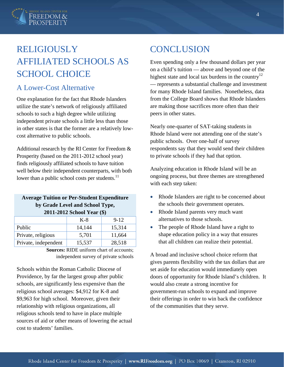

# RELIGIOUSLY AFFILIATED SCHOOLS AS SCHOOL CHOICE

#### A Lower-Cost Alternative

One explanation for the fact that Rhode Islanders utilize the state's network of religiously affiliated schools to such a high degree while utilizing independent private schools a little less than those in other states is that the former are a relatively lowcost alternative to public schools.

Additional research by the RI Center for Freedom & Prosperity (based on the 2011-2012 school year) finds religiously affiliated schools to have tuition well below their independent counterparts, with both lower than a public school costs per students.<sup>11</sup>

#### **Average Tuition or Per-Student Expenditure by Grade Level and School Type, 2011-2012 School Year (\$)**

|                      | K-8    | $9 - 12$ |
|----------------------|--------|----------|
| Public               | 14,144 | 15,314   |
| Private, religious   | 5,701  | 11,664   |
| Private, independent | 15,537 | 28,518   |

**Sources:** RIDE uniform chart of accounts; independent survey of private schools

Schools within the Roman Catholic Diocese of Providence, by far the largest group after public schools, are significantly less expensive than the religious school averages: \$4,912 for K-8 and \$9,963 for high school. Moreover, given their relationship with religious organizations, all religious schools tend to have in place multiple sources of aid or other means of lowering the actual cost to students' families.

## **CONCLUSION**

Even spending only a few thousand dollars per year on a child's tuition — above and beyond one of the highest state and local tax burdens in the country<sup>12</sup> — represents a substantial challenge and investment for many Rhode Island families. Nonetheless, data from the College Board shows that Rhode Islanders are making those sacrifices more often than their peers in other states.

Nearly one-quarter of SAT-taking students in Rhode Island were not attending one of the state's public schools. Over one-half of survey respondents say that they would send their children to private schools if they had that option.

Analyzing education in Rhode Island will be an ongoing process, but three themes are strengthened with each step taken:

- Rhode Islanders are right to be concerned about the schools their government operates.
- Rhode Island parents very much want alternatives to those schools.
- The people of Rhode Island have a right to shape education policy in a way that ensures that all children can realize their potential.

A broad and inclusive school choice reform that gives parents flexibility with the tax dollars that are set aside for education would immediately open doors of opportunity for Rhode Island's children. It would also create a strong incentive for government-run schools to expand and improve their offerings in order to win back the confidence of the communities that they serve.